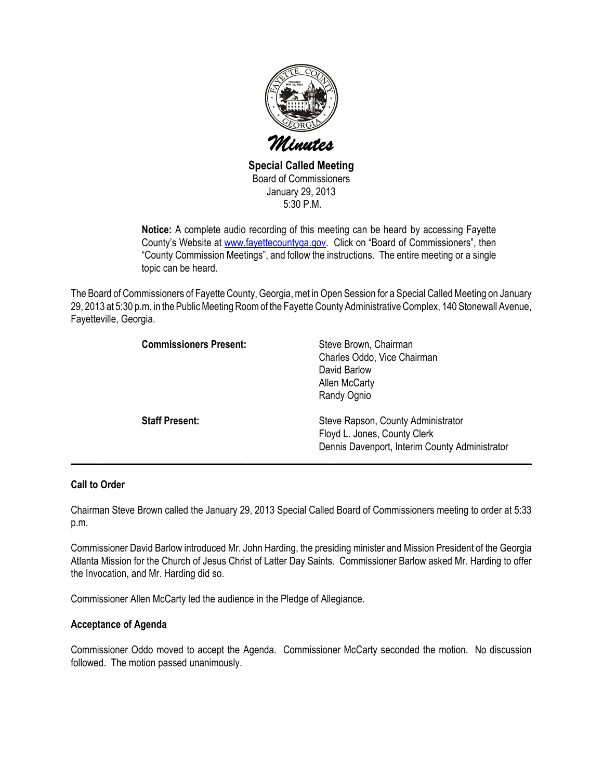

Special Called Meeting Board of Commissioners January 29, 2013 5:30 P.M.

Notice: A complete audio recording of this meeting can be heard by accessing Fayette County's Website at www.fayettecountyga.gov. Click on "Board of Commissioners", then "County Commission Meetings", and follow the instructions. The entire meeting or a single topic can be heard.

The Board of Commissioners of Fayette County, Georgia, met in Open Session for a Special Called Meeting on January 29, 2013 at 5:30 p.m. in the Public Meeting Room of the Fayette County Administrative Complex, 140 Stonewall Avenue, Fayetteville, Georgia.

| <b>Commissioners Present:</b> | Steve Brown, Chairman<br>Charles Oddo, Vice Chairman<br>David Barlow<br><b>Allen McCarty</b><br>Randy Ognio          |
|-------------------------------|----------------------------------------------------------------------------------------------------------------------|
| <b>Staff Present:</b>         | Steve Rapson, County Administrator<br>Floyd L. Jones, County Clerk<br>Dennis Davenport, Interim County Administrator |

# Call to Order

Chairman Steve Brown called the January 29, 2013 Special Called Board of Commissioners meeting to order at 5:33 p.m.

Commissioner David Barlow introduced Mr. John Harding, the presiding minister and Mission President of the Georgia Atlanta Mission for the Church of Jesus Christ of Latter Day Saints. Commissioner Barlow asked Mr. Harding to offer the Invocation, and Mr. Harding did so.

Commissioner Allen McCarty led the audience in the Pledge of Allegiance.

## Acceptance of Agenda

Commissioner Oddo moved to accept the Agenda. Commissioner McCarty seconded the motion. No discussion followed. The motion passed unanimously.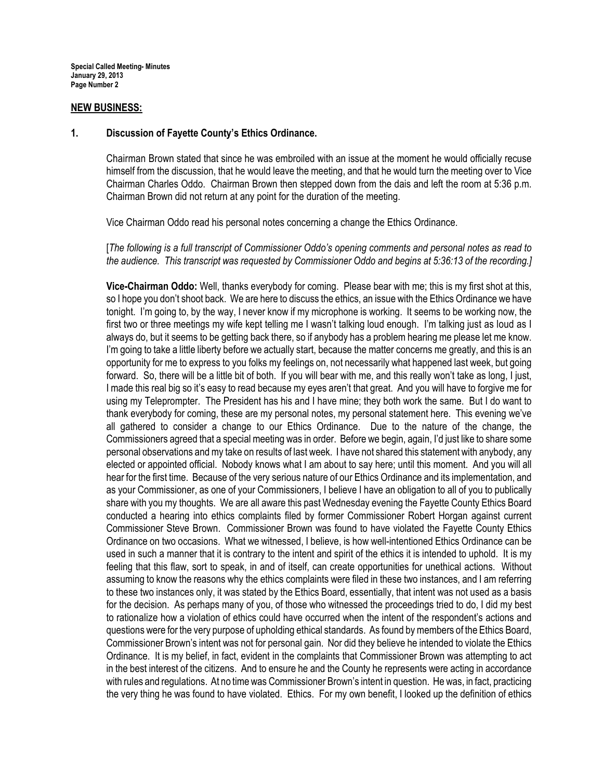#### NEW BUSINESS:

#### 1. Discussion of Fayette County's Ethics Ordinance.

Chairman Brown stated that since he was embroiled with an issue at the moment he would officially recuse himself from the discussion, that he would leave the meeting, and that he would turn the meeting over to Vice Chairman Charles Oddo. Chairman Brown then stepped down from the dais and left the room at 5:36 p.m. Chairman Brown did not return at any point for the duration of the meeting.

Vice Chairman Oddo read his personal notes concerning a change the Ethics Ordinance.

[The following is a full transcript of Commissioner Oddo's opening comments and personal notes as read to the audience. This transcript was requested by Commissioner Oddo and begins at 5:36:13 of the recording.]

Vice-Chairman Oddo: Well, thanks everybody for coming. Please bear with me; this is my first shot at this, so I hope you don't shoot back. We are here to discuss the ethics, an issue with the Ethics Ordinance we have tonight. I'm going to, by the way, I never know if my microphone is working. It seems to be working now, the first two or three meetings my wife kept telling me I wasn't talking loud enough. I'm talking just as loud as I always do, but it seems to be getting back there, so if anybody has a problem hearing me please let me know. I'm going to take a little liberty before we actually start, because the matter concerns me greatly, and this is an opportunity for me to express to you folks my feelings on, not necessarily what happened last week, but going forward. So, there will be a little bit of both. If you will bear with me, and this really won't take as long, I just, I made this real big so it's easy to read because my eyes aren't that great. And you will have to forgive me for using my Teleprompter. The President has his and I have mine; they both work the same. But I do want to thank everybody for coming, these are my personal notes, my personal statement here. This evening we've all gathered to consider a change to our Ethics Ordinance. Due to the nature of the change, the Commissioners agreed that a special meeting was in order. Before we begin, again, I'd just like to share some personal observations and my take on results of last week. I have not shared this statement with anybody, any elected or appointed official. Nobody knows what I am about to say here; until this moment. And you will all hear for the first time. Because of the very serious nature of our Ethics Ordinance and its implementation, and as your Commissioner, as one of your Commissioners, I believe I have an obligation to all of you to publically share with you my thoughts. We are all aware this past Wednesday evening the Fayette County Ethics Board conducted a hearing into ethics complaints filed by former Commissioner Robert Horgan against current Commissioner Steve Brown. Commissioner Brown was found to have violated the Fayette County Ethics Ordinance on two occasions. What we witnessed, I believe, is how well-intentioned Ethics Ordinance can be used in such a manner that it is contrary to the intent and spirit of the ethics it is intended to uphold. It is my feeling that this flaw, sort to speak, in and of itself, can create opportunities for unethical actions. Without assuming to know the reasons why the ethics complaints were filed in these two instances, and I am referring to these two instances only, it was stated by the Ethics Board, essentially, that intent was not used as a basis for the decision. As perhaps many of you, of those who witnessed the proceedings tried to do, I did my best to rationalize how a violation of ethics could have occurred when the intent of the respondent's actions and questions were for the very purpose of upholding ethical standards. As found by members of the Ethics Board, Commissioner Brown's intent was not for personal gain. Nor did they believe he intended to violate the Ethics Ordinance. It is my belief, in fact, evident in the complaints that Commissioner Brown was attempting to act in the best interest of the citizens. And to ensure he and the County he represents were acting in accordance with rules and regulations. At no time was Commissioner Brown's intent in question. He was, in fact, practicing the very thing he was found to have violated. Ethics. For my own benefit, I looked up the definition of ethics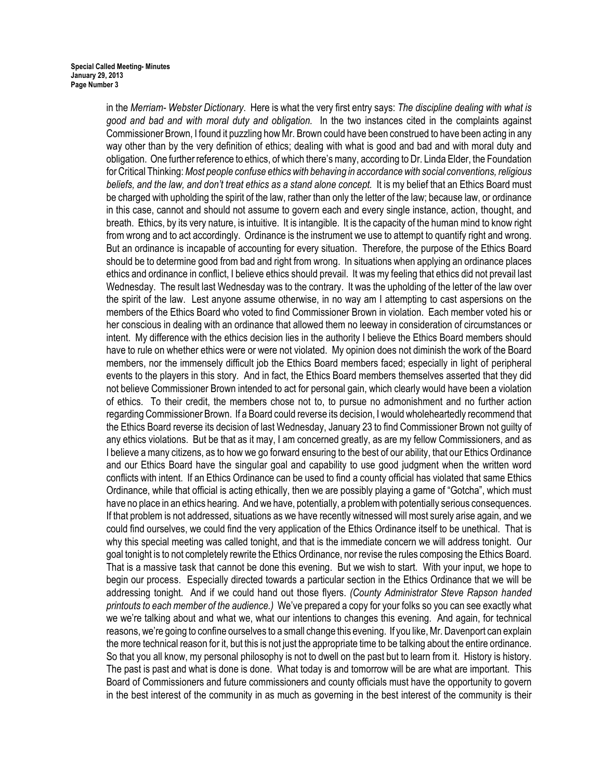in the Merriam- Webster Dictionary. Here is what the very first entry says: The discipline dealing with what is good and bad and with moral duty and obligation. In the two instances cited in the complaints against Commissioner Brown, I found it puzzling how Mr. Brown could have been construed to have been acting in any way other than by the very definition of ethics; dealing with what is good and bad and with moral duty and obligation. One further reference to ethics, of which there's many, according to Dr. Linda Elder, the Foundation for Critical Thinking: Most people confuse ethics with behaving in accordance with social conventions, religious beliefs, and the law, and don't treat ethics as a stand alone concept. It is my belief that an Ethics Board must be charged with upholding the spirit of the law, rather than only the letter of the law; because law, or ordinance in this case, cannot and should not assume to govern each and every single instance, action, thought, and breath. Ethics, by its very nature, is intuitive. It is intangible. It is the capacity of the human mind to know right from wrong and to act accordingly. Ordinance is the instrument we use to attempt to quantify right and wrong. But an ordinance is incapable of accounting for every situation. Therefore, the purpose of the Ethics Board should be to determine good from bad and right from wrong. In situations when applying an ordinance places ethics and ordinance in conflict, I believe ethics should prevail. It was my feeling that ethics did not prevail last Wednesday. The result last Wednesday was to the contrary. It was the upholding of the letter of the law over the spirit of the law. Lest anyone assume otherwise, in no way am I attempting to cast aspersions on the members of the Ethics Board who voted to find Commissioner Brown in violation. Each member voted his or her conscious in dealing with an ordinance that allowed them no leeway in consideration of circumstances or intent. My difference with the ethics decision lies in the authority I believe the Ethics Board members should have to rule on whether ethics were or were not violated. My opinion does not diminish the work of the Board members, nor the immensely difficult job the Ethics Board members faced; especially in light of peripheral events to the players in this story. And in fact, the Ethics Board members themselves asserted that they did not believe Commissioner Brown intended to act for personal gain, which clearly would have been a violation of ethics. To their credit, the members chose not to, to pursue no admonishment and no further action regarding Commissioner Brown. If a Board could reverse its decision, I would wholeheartedly recommend that the Ethics Board reverse its decision of last Wednesday, January 23 to find Commissioner Brown not guilty of any ethics violations. But be that as it may, I am concerned greatly, as are my fellow Commissioners, and as I believe a many citizens, as to how we go forward ensuring to the best of our ability, that our Ethics Ordinance and our Ethics Board have the singular goal and capability to use good judgment when the written word conflicts with intent. If an Ethics Ordinance can be used to find a county official has violated that same Ethics Ordinance, while that official is acting ethically, then we are possibly playing a game of "Gotcha", which must have no place in an ethics hearing. And we have, potentially, a problem with potentially serious consequences. If that problem is not addressed, situations as we have recently witnessed will most surely arise again, and we could find ourselves, we could find the very application of the Ethics Ordinance itself to be unethical. That is why this special meeting was called tonight, and that is the immediate concern we will address tonight. Our goal tonight is to not completely rewrite the Ethics Ordinance, nor revise the rules composing the Ethics Board. That is a massive task that cannot be done this evening. But we wish to start. With your input, we hope to begin our process. Especially directed towards a particular section in the Ethics Ordinance that we will be addressing tonight. And if we could hand out those flyers. (County Administrator Steve Rapson handed printouts to each member of the audience.) We've prepared a copy for your folks so you can see exactly what we we're talking about and what we, what our intentions to changes this evening. And again, for technical reasons, we're going to confine ourselves to a small change this evening. If you like, Mr. Davenport can explain the more technical reason for it, but this is not just the appropriate time to be talking about the entire ordinance. So that you all know, my personal philosophy is not to dwell on the past but to learn from it. History is history. The past is past and what is done is done. What today is and tomorrow will be are what are important. This Board of Commissioners and future commissioners and county officials must have the opportunity to govern in the best interest of the community in as much as governing in the best interest of the community is their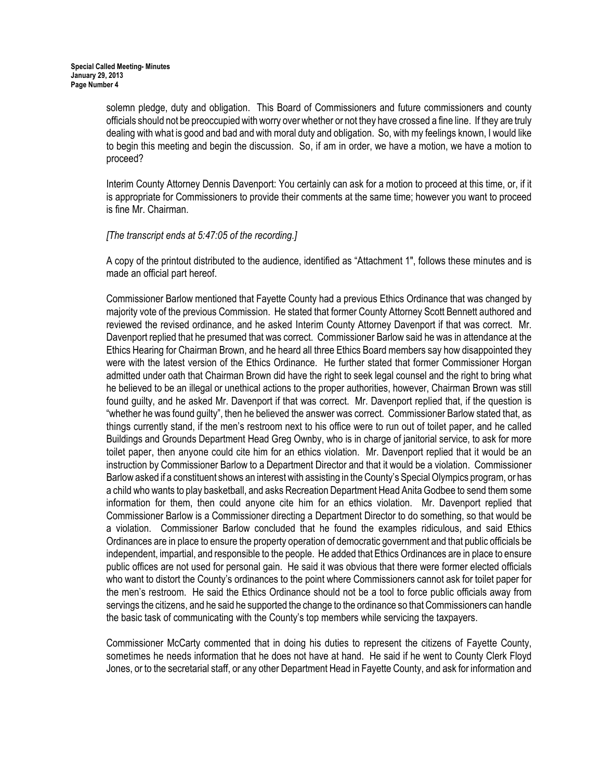solemn pledge, duty and obligation. This Board of Commissioners and future commissioners and county officials should not be preoccupied with worry over whether or not they have crossed a fine line. If they are truly dealing with what is good and bad and with moral duty and obligation. So, with my feelings known, I would like to begin this meeting and begin the discussion. So, if am in order, we have a motion, we have a motion to proceed?

Interim County Attorney Dennis Davenport: You certainly can ask for a motion to proceed at this time, or, if it is appropriate for Commissioners to provide their comments at the same time; however you want to proceed is fine Mr. Chairman.

## [The transcript ends at 5:47:05 of the recording.]

A copy of the printout distributed to the audience, identified as "Attachment 1", follows these minutes and is made an official part hereof.

Commissioner Barlow mentioned that Fayette County had a previous Ethics Ordinance that was changed by majority vote of the previous Commission. He stated that former County Attorney Scott Bennett authored and reviewed the revised ordinance, and he asked Interim County Attorney Davenport if that was correct. Mr. Davenport replied that he presumed that was correct. Commissioner Barlow said he was in attendance at the Ethics Hearing for Chairman Brown, and he heard all three Ethics Board members say how disappointed they were with the latest version of the Ethics Ordinance. He further stated that former Commissioner Horgan admitted under oath that Chairman Brown did have the right to seek legal counsel and the right to bring what he believed to be an illegal or unethical actions to the proper authorities, however, Chairman Brown was still found guilty, and he asked Mr. Davenport if that was correct. Mr. Davenport replied that, if the question is "whether he was found guilty", then he believed the answer was correct. Commissioner Barlow stated that, as things currently stand, if the men's restroom next to his office were to run out of toilet paper, and he called Buildings and Grounds Department Head Greg Ownby, who is in charge of janitorial service, to ask for more toilet paper, then anyone could cite him for an ethics violation. Mr. Davenport replied that it would be an instruction by Commissioner Barlow to a Department Director and that it would be a violation. Commissioner Barlow asked if a constituent shows an interest with assisting in the County's Special Olympics program, or has a child who wants to play basketball, and asks Recreation Department Head Anita Godbee to send them some information for them, then could anyone cite him for an ethics violation. Mr. Davenport replied that Commissioner Barlow is a Commissioner directing a Department Director to do something, so that would be a violation. Commissioner Barlow concluded that he found the examples ridiculous, and said Ethics Ordinances are in place to ensure the property operation of democratic government and that public officials be independent, impartial, and responsible to the people. He added that Ethics Ordinances are in place to ensure public offices are not used for personal gain. He said it was obvious that there were former elected officials who want to distort the County's ordinances to the point where Commissioners cannot ask for toilet paper for the men's restroom. He said the Ethics Ordinance should not be a tool to force public officials away from servings the citizens, and he said he supported the change to the ordinance so that Commissioners can handle the basic task of communicating with the County's top members while servicing the taxpayers.

Commissioner McCarty commented that in doing his duties to represent the citizens of Fayette County, sometimes he needs information that he does not have at hand. He said if he went to County Clerk Floyd Jones, or to the secretarial staff, or any other Department Head in Fayette County, and ask for information and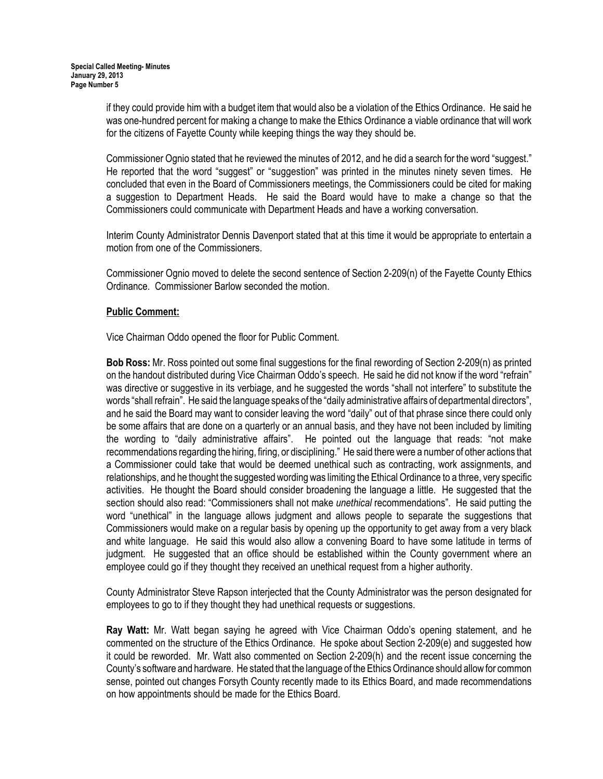if they could provide him with a budget item that would also be a violation of the Ethics Ordinance. He said he was one-hundred percent for making a change to make the Ethics Ordinance a viable ordinance that will work for the citizens of Fayette County while keeping things the way they should be.

Commissioner Ognio stated that he reviewed the minutes of 2012, and he did a search for the word "suggest." He reported that the word "suggest" or "suggestion" was printed in the minutes ninety seven times. He concluded that even in the Board of Commissioners meetings, the Commissioners could be cited for making a suggestion to Department Heads. He said the Board would have to make a change so that the Commissioners could communicate with Department Heads and have a working conversation.

Interim County Administrator Dennis Davenport stated that at this time it would be appropriate to entertain a motion from one of the Commissioners.

Commissioner Ognio moved to delete the second sentence of Section 2-209(n) of the Fayette County Ethics Ordinance. Commissioner Barlow seconded the motion.

# Public Comment:

Vice Chairman Oddo opened the floor for Public Comment.

Bob Ross: Mr. Ross pointed out some final suggestions for the final rewording of Section 2-209(n) as printed on the handout distributed during Vice Chairman Oddo's speech. He said he did not know if the word "refrain" was directive or suggestive in its verbiage, and he suggested the words "shall not interfere" to substitute the words "shall refrain". He said the language speaks of the "daily administrative affairs of departmental directors", and he said the Board may want to consider leaving the word "daily" out of that phrase since there could only be some affairs that are done on a quarterly or an annual basis, and they have not been included by limiting the wording to "daily administrative affairs". He pointed out the language that reads: "not make recommendations regarding the hiring, firing, or disciplining." He said there were a number of other actions that a Commissioner could take that would be deemed unethical such as contracting, work assignments, and relationships, and he thought the suggested wording was limiting the Ethical Ordinance to a three, very specific activities. He thought the Board should consider broadening the language a little. He suggested that the section should also read: "Commissioners shall not make *unethical* recommendations". He said putting the word "unethical" in the language allows judgment and allows people to separate the suggestions that Commissioners would make on a regular basis by opening up the opportunity to get away from a very black and white language. He said this would also allow a convening Board to have some latitude in terms of judgment. He suggested that an office should be established within the County government where an employee could go if they thought they received an unethical request from a higher authority.

County Administrator Steve Rapson interjected that the County Administrator was the person designated for employees to go to if they thought they had unethical requests or suggestions.

Ray Watt: Mr. Watt began saying he agreed with Vice Chairman Oddo's opening statement, and he commented on the structure of the Ethics Ordinance. He spoke about Section 2-209(e) and suggested how it could be reworded. Mr. Watt also commented on Section 2-209(h) and the recent issue concerning the County's software and hardware. He stated that the language of the Ethics Ordinance should allow for common sense, pointed out changes Forsyth County recently made to its Ethics Board, and made recommendations on how appointments should be made for the Ethics Board.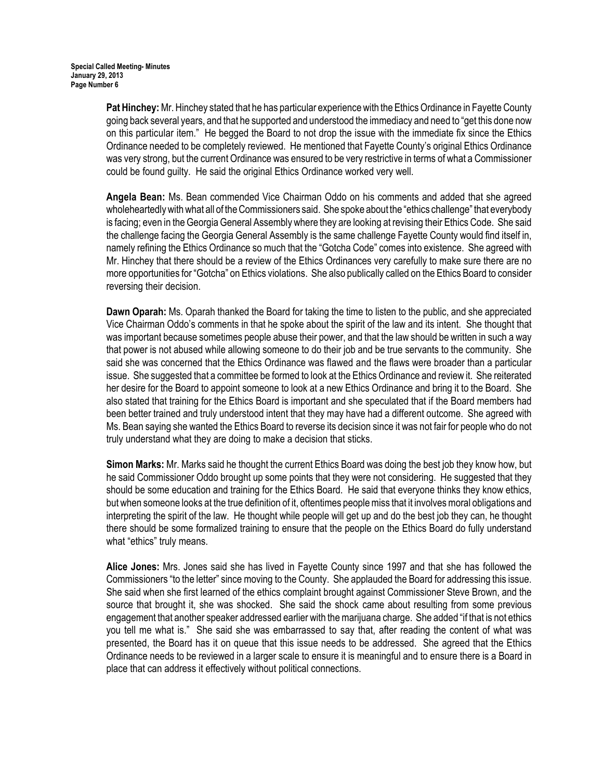Pat Hinchey: Mr. Hinchey stated that he has particular experience with the Ethics Ordinance in Fayette County going back several years, and that he supported and understood the immediacy and need to "get this done now on this particular item." He begged the Board to not drop the issue with the immediate fix since the Ethics Ordinance needed to be completely reviewed. He mentioned that Fayette County's original Ethics Ordinance was very strong, but the current Ordinance was ensured to be very restrictive in terms of what a Commissioner could be found guilty. He said the original Ethics Ordinance worked very well.

Angela Bean: Ms. Bean commended Vice Chairman Oddo on his comments and added that she agreed wholeheartedly with what all of the Commissioners said. She spoke about the "ethics challenge" that everybody is facing; even in the Georgia General Assembly where they are looking at revising their Ethics Code. She said the challenge facing the Georgia General Assembly is the same challenge Fayette County would find itself in, namely refining the Ethics Ordinance so much that the "Gotcha Code" comes into existence. She agreed with Mr. Hinchey that there should be a review of the Ethics Ordinances very carefully to make sure there are no more opportunities for "Gotcha" on Ethics violations. She also publically called on the Ethics Board to consider reversing their decision.

Dawn Oparah: Ms. Oparah thanked the Board for taking the time to listen to the public, and she appreciated Vice Chairman Oddo's comments in that he spoke about the spirit of the law and its intent. She thought that was important because sometimes people abuse their power, and that the law should be written in such a way that power is not abused while allowing someone to do their job and be true servants to the community. She said she was concerned that the Ethics Ordinance was flawed and the flaws were broader than a particular issue. She suggested that a committee be formed to look at the Ethics Ordinance and review it. She reiterated her desire for the Board to appoint someone to look at a new Ethics Ordinance and bring it to the Board. She also stated that training for the Ethics Board is important and she speculated that if the Board members had been better trained and truly understood intent that they may have had a different outcome. She agreed with Ms. Bean saying she wanted the Ethics Board to reverse its decision since it was not fair for people who do not truly understand what they are doing to make a decision that sticks.

Simon Marks: Mr. Marks said he thought the current Ethics Board was doing the best job they know how, but he said Commissioner Oddo brought up some points that they were not considering. He suggested that they should be some education and training for the Ethics Board. He said that everyone thinks they know ethics, but when someone looks at the true definition of it, oftentimes people miss that it involves moral obligations and interpreting the spirit of the law. He thought while people will get up and do the best job they can, he thought there should be some formalized training to ensure that the people on the Ethics Board do fully understand what "ethics" truly means.

Alice Jones: Mrs. Jones said she has lived in Fayette County since 1997 and that she has followed the Commissioners "to the letter" since moving to the County. She applauded the Board for addressing this issue. She said when she first learned of the ethics complaint brought against Commissioner Steve Brown, and the source that brought it, she was shocked. She said the shock came about resulting from some previous engagement that another speaker addressed earlier with the marijuana charge. She added "if that is not ethics you tell me what is." She said she was embarrassed to say that, after reading the content of what was presented, the Board has it on queue that this issue needs to be addressed. She agreed that the Ethics Ordinance needs to be reviewed in a larger scale to ensure it is meaningful and to ensure there is a Board in place that can address it effectively without political connections.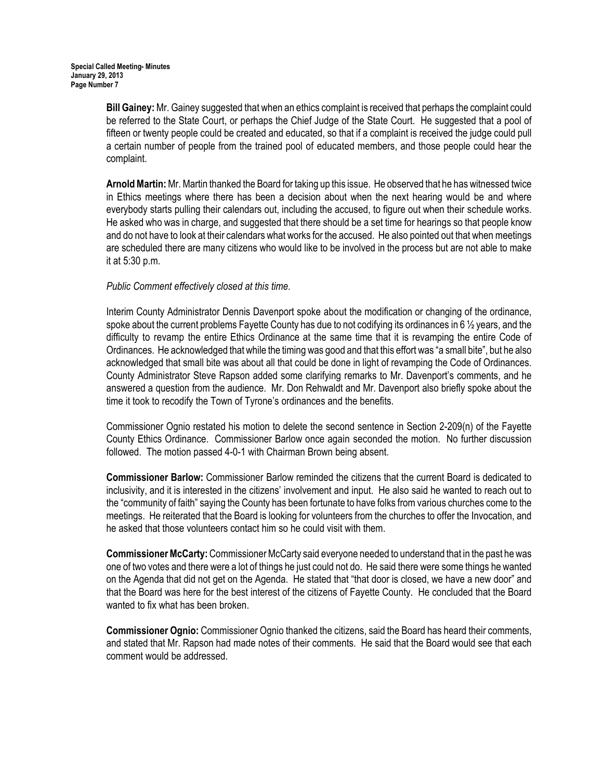Bill Gainey: Mr. Gainey suggested that when an ethics complaint is received that perhaps the complaint could be referred to the State Court, or perhaps the Chief Judge of the State Court. He suggested that a pool of fifteen or twenty people could be created and educated, so that if a complaint is received the judge could pull a certain number of people from the trained pool of educated members, and those people could hear the complaint.

Arnold Martin: Mr. Martin thanked the Board for taking up this issue. He observed that he has witnessed twice in Ethics meetings where there has been a decision about when the next hearing would be and where everybody starts pulling their calendars out, including the accused, to figure out when their schedule works. He asked who was in charge, and suggested that there should be a set time for hearings so that people know and do not have to look at their calendars what works for the accused. He also pointed out that when meetings are scheduled there are many citizens who would like to be involved in the process but are not able to make it at 5:30 p.m.

# Public Comment effectively closed at this time.

Interim County Administrator Dennis Davenport spoke about the modification or changing of the ordinance, spoke about the current problems Fayette County has due to not codifying its ordinances in 6  $\frac{1}{2}$  years, and the difficulty to revamp the entire Ethics Ordinance at the same time that it is revamping the entire Code of Ordinances. He acknowledged that while the timing was good and that this effort was "a small bite", but he also acknowledged that small bite was about all that could be done in light of revamping the Code of Ordinances. County Administrator Steve Rapson added some clarifying remarks to Mr. Davenport's comments, and he answered a question from the audience. Mr. Don Rehwaldt and Mr. Davenport also briefly spoke about the time it took to recodify the Town of Tyrone's ordinances and the benefits.

Commissioner Ognio restated his motion to delete the second sentence in Section 2-209(n) of the Fayette County Ethics Ordinance. Commissioner Barlow once again seconded the motion. No further discussion followed. The motion passed 4-0-1 with Chairman Brown being absent.

Commissioner Barlow: Commissioner Barlow reminded the citizens that the current Board is dedicated to inclusivity, and it is interested in the citizens' involvement and input. He also said he wanted to reach out to the "community of faith" saying the County has been fortunate to have folks from various churches come to the meetings. He reiterated that the Board is looking for volunteers from the churches to offer the Invocation, and he asked that those volunteers contact him so he could visit with them.

Commissioner McCarty: Commissioner McCarty said everyone needed to understand that in the past he was one of two votes and there were a lot of things he just could not do. He said there were some things he wanted on the Agenda that did not get on the Agenda. He stated that "that door is closed, we have a new door" and that the Board was here for the best interest of the citizens of Fayette County. He concluded that the Board wanted to fix what has been broken.

Commissioner Ognio: Commissioner Ognio thanked the citizens, said the Board has heard their comments, and stated that Mr. Rapson had made notes of their comments. He said that the Board would see that each comment would be addressed.